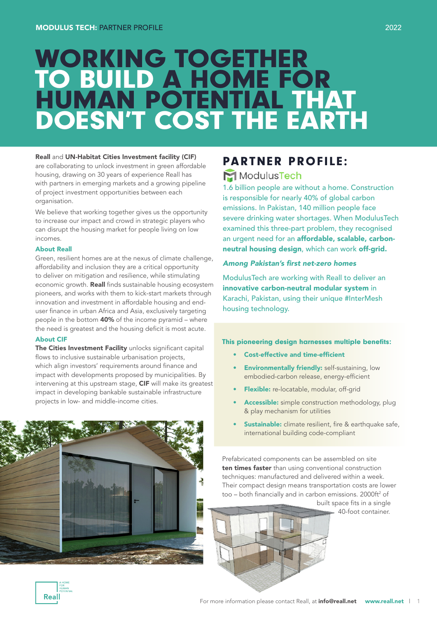# WORKING TOGETHER TO BUILD A HOME FOR HUMAN POTENTIAL THAT DOESN'T COST THE EARTH

#### Reall and UN-Habitat Cities Investment facility (CIF)

are collaborating to unlock investment in green affordable housing, drawing on 30 years of experience Reall has with partners in emerging markets and a growing pipeline of project investment opportunities between each organisation.

We believe that working together gives us the opportunity to increase our impact and crowd in strategic players who can disrupt the housing market for people living on low incomes.

#### About Reall

Green, resilient homes are at the nexus of climate challenge, affordability and inclusion they are a critical opportunity to deliver on mitigation and resilience, while stimulating economic growth. Reall finds sustainable housing ecosystem pioneers, and works with them to kick-start markets through innovation and investment in affordable housing and enduser finance in urban Africa and Asia, exclusively targeting people in the bottom 40% of the income pyramid – where the need is greatest and the housing deficit is most acute.

#### About CIF

The Cities Investment Facility unlocks significant capital flows to inclusive sustainable urbanisation projects, which align investors' requirements around finance and impact with developments proposed by municipalities. By intervening at this upstream stage, CIF will make its greatest impact in developing bankable sustainable infrastructure projects in low- and middle-income cities.

### PARTNER PROFILE:

### ModulusTech

1.6 billion people are without a home. Construction is responsible for nearly 40% of global carbon emissions. In Pakistan, 140 million people face severe drinking water shortages. When ModulusTech examined this three-part problem, they recognised an urgent need for an affordable, scalable, carbonneutral housing design, which can work off-grid.

#### Among Pakistan's first net-zero homes

ModulusTech are working with Reall to deliver an innovative carbon-neutral modular system in Karachi, Pakistan, using their unique #InterMesh housing technology.

#### This pioneering design harnesses multiple benefits:

- Cost-effective and time-efficient
- **Environmentally friendly:** self-sustaining, low embodied-carbon release, energy-efficient
- Flexible: re-locatable, modular, off-grid
- Accessible: simple construction methodology, plug & play mechanism for utilities
- **Sustainable:** climate resilient, fire & earthquake safe, international building code-compliant

Prefabricated components can be assembled on site ten times faster than using conventional construction techniques: manufactured and delivered within a week. Their compact design means transportation costs are lower too - both financially and in carbon emissions. 2000ft<sup>2</sup> of